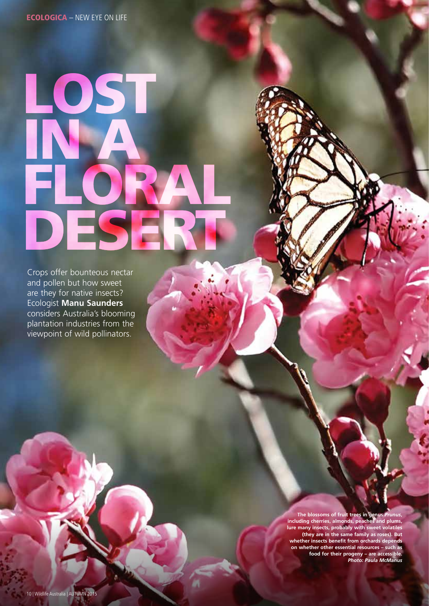## LOST IN A FLORAL DESERT

Crops offer bounteous nectar and pollen but how sweet are they for native insects? Ecologist **Manu Saunders** considers Australia's blooming plantation industries from the viewpoint of wild pollinators.

> **The blossoms of fruit trees in genus** *Prunus***, including cherries, almonds, peaches and plums, lure many insects, probably with sweet volatiles (they are in the same family as roses). But whether insects benefit from orchards depends on whether other essential resources – such as food for their progeny – are accessible.** *Photo: Paula McManus*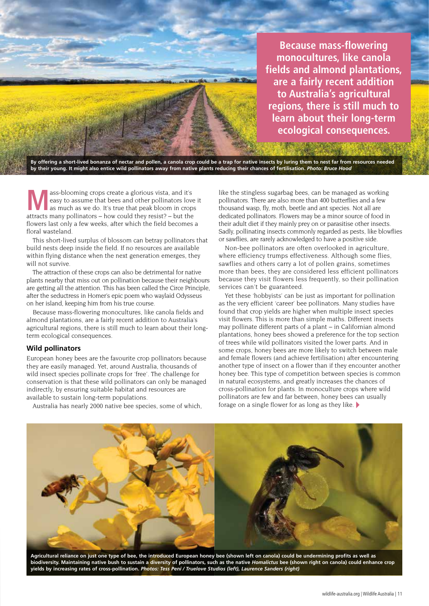

**Because mass-flowering monocultures, like canola fields and almond plantations, are a fairly recent addition to Australia's agricultural regions, there is still much to learn about their long-term ecological consequences.**

**By offering a short-lived bonanza of nectar and pollen, a canola crop could be a trap for native insects by luring them to nest far from resources needed by their young. It might also entice wild pollinators away from native plants reducing their chances of fertilisation.** *Photo: Bruce Hood*

**M**ass-blooming crops create a glorious vista, and it's easy to assume that bees and other pollinators love it as much as we do. It's true that peak bloom in crops attracts many pollinators – how could they resist? – but the flowers last only a few weeks, after which the field becomes a floral wasteland.

This short-lived surplus of blossom can betray pollinators that build nests deep inside the field. If no resources are available within flying distance when the next generation emerges, they will not survive.

The attraction of these crops can also be detrimental for native plants nearby that miss out on pollination because their neighbours are getting all the attention. This has been called the Circe Principle, after the seductress in Homer's epic poem who waylaid Odysseus on her island, keeping him from his true course.

Because mass-flowering monocultures, like canola fields and almond plantations, are a fairly recent addition to Australia's agricultural regions, there is still much to learn about their longterm ecological consequences.

## **Wild pollinators**

European honey bees are the favourite crop pollinators because they are easily managed. Yet, around Australia, thousands of wild insect species pollinate crops for 'free'. The challenge for conservation is that these wild pollinators can only be managed indirectly, by ensuring suitable habitat and resources are available to sustain long-term populations.

Australia has nearly 2000 native bee species, some of which,

like the stingless sugarbag bees, can be managed as working pollinators. There are also more than 400 butterflies and a few thousand wasp, fly, moth, beetle and ant species. Not all are dedicated pollinators. Flowers may be a minor source of food in their adult diet if they mainly prey on or parasitise other insects. Sadly, pollinating insects commonly regarded as pests, like blowflies or sawflies, are rarely acknowledged to have a positive side.

Non-bee pollinators are often overlooked in agriculture, where efficiency trumps effectiveness. Although some flies, sawflies and others carry a lot of pollen grains, sometimes more than bees, they are considered less efficient pollinators because they visit flowers less frequently, so their pollination services can't be guaranteed.

Yet these 'hobbyists' can be just as important for pollination as the very efficient 'career' bee pollinators. Many studies have found that crop yields are higher when multiple insect species visit flowers. This is more than simple maths. Different insects may pollinate different parts of a plant – in Californian almond plantations, honey bees showed a preference for the top section of trees while wild pollinators visited the lower parts. And in some crops, honey bees are more likely to switch between male and female flowers (and achieve fertilisation) after encountering another type of insect on a flower than if they encounter another honey bee. This type of competition between species is common in natural ecosystems, and greatly increases the chances of cross-pollination for plants. In monoculture crops where wild pollinators are few and far between, honey bees can usually forage on a single flower for as long as they like.



**Agricultural reliance on just one type of bee, the introduced European honey bee (shown left on canola) could be undermining profits as well as biodiversity. Maintaining native bush to sustain a diversity of pollinators, such as the native** *Homalictus* **bee (shown right on canola) could enhance crop yields by increasing rates of cross-pollination.** *Photos: Tess Peni / Truelove Studios (left), Laurence Sanders (right)*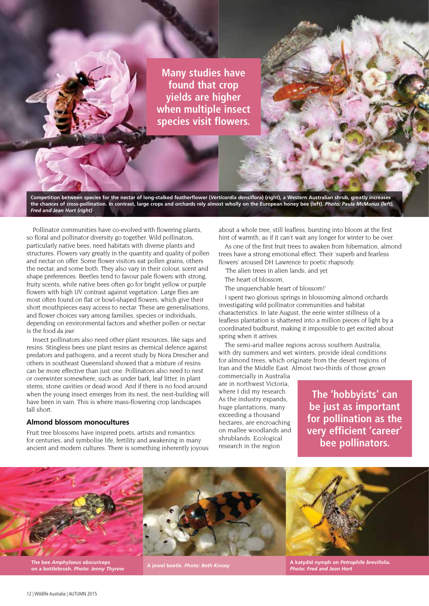**Many studies have found that crop yields are higher when multiple insect species visit flowers.**

**Competition between species for the nectar of long-stalked featherflower (***Verticordia densiflora***) (right), a Western Australian shrub, greatly increases the chances of cross-pollination. In contrast, large crops and orchards rely almost wholly on the European honey bee (left).** *Photo: Paula McManus (left), Fred and Jean Hort (right)*

Pollinator communities have co-evolved with flowering plants, so floral and pollinator diversity go together. Wild pollinators, particularly native bees, need habitats with diverse plants and structures. Flowers vary greatly in the quantity and quality of pollen and nectar on offer. Some flower visitors eat pollen grains, others the nectar, and some both. They also vary in their colour, scent and shape preferences. Beetles tend to favour pale flowers with strong, fruity scents, while native bees often go for bright yellow or purple flowers with high UV contrast against vegetation. Large flies are most often found on flat or bowl-shaped flowers, which give their short mouthpieces easy access to nectar. These are generalisations, and flower choices vary among families, species or individuals, depending on environmental factors and whether pollen or nectar is the food *du jour*.

Insect pollinators also need other plant resources, like saps and resins. Stingless bees use plant resins as chemical defence against predators and pathogens, and a recent study by Nora Drescher and others in southeast Queensland showed that a mixture of resins can be more effective than just one. Pollinators also need to nest or overwinter somewhere, such as under bark, leaf litter, in plant stems, stone cavities or dead wood. And if there is no food around when the young insect emerges from its nest, the nest-building will have been in vain. This is where mass-flowering crop landscapes fall short.

## **Almond blossom monocultures**

Fruit tree blossoms have inspired poets, artists and romantics for centuries, and symbolise life, fertility and awakening in many ancient and modern cultures. There is something inherently joyous

about a whole tree, still leafless, bursting into bloom at the first hint of warmth, as if it can't wait any longer for winter to be over.

As one of the first fruit trees to awaken from hibernation, almond trees have a strong emotional effect. Their 'superb and fearless flowers' aroused DH Lawrence to poetic rhapsody:

'The alien trees in alien lands; and yet

The heart of blossom,

The unquenchable heart of blossom!'

I spent two glorious springs in blossoming almond orchards investigating wild pollinator communities and habitat characteristics. In late August, the eerie winter stillness of a leafless plantation is shattered into a million pieces of light by a coordinated budburst, making it impossible to get excited about spring when it arrives.

The semi-arid mallee regions across southern Australia, with dry summers and wet winters, provide ideal conditions for almond trees, which originate from the desert regions of Iran and the Middle East. Almost two-thirds of those grown

commercially in Australia are in northwest Victoria, where I did my research. As the industry expands, huge plantations, many exceeding a thousand hectares, are encroaching on mallee woodlands and shrublands. Ecological research in the region

**The 'hobbyists' can be just as important for pollination as the very efficient 'career' bee pollinators.**



**The bee** *Amphylaeus obscuriceps* **on a bottlebrush.** *Photo: Jenny Thynne* 

**A katydid nymph on** *Petrophile brevifolia***.**  *Photo: Fred and Jean Hort* **A jewel beetle.** *Photo: Beth Kinsey*